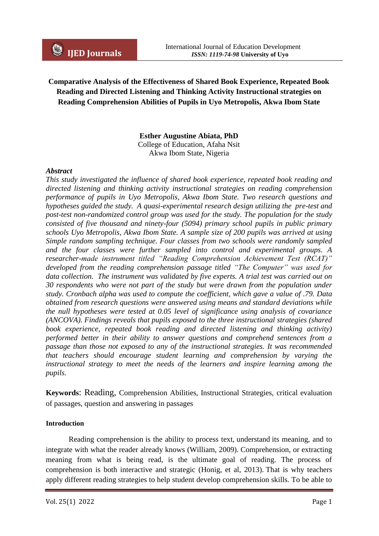# **Comparative Analysis of the Effectiveness of Shared Book Experience, Repeated Book Reading and Directed Listening and Thinking Activity Instructional strategies on Reading Comprehension Abilities of Pupils in Uyo Metropolis, Akwa Ibom State**

#### **Esther Augustine Abiata, PhD** College of Education, Afaha Nsit Akwa Ibom State, Nigeria

#### *Abstract*

*This study investigated the influence of shared book experience, repeated book reading and directed listening and thinking activity instructional strategies on reading comprehension performance of pupils in Uyo Metropolis, Akwa Ibom State. Two research questions and hypotheses guided the study. A quasi-experimental research design utilizing the pre-test and post-test non-randomized control group was used for the study. The population for the study consisted of five thousand and ninety-four (5094) primary school pupils in public primary schools Uyo Metropolis, Akwa Ibom State. A sample size of 200 pupils was arrived at using Simple random sampling technique. Four classes from two schools were randomly sampled and the four classes were further sampled into control and experimental groups. A researcher-made instrument titled "Reading Comprehension Achievement Test (RCAT)" developed from the reading comprehension passage titled "The Computer" was used for data collection. The instrument was validated by five experts. A trial test was carried out on 30 respondents who were not part of the study but were drawn from the population under study. Cronbach alpha was used to compute the coefficient, which gave a value of .79. Data obtained from research questions were answered using means and standard deviations while the null hypotheses were tested at 0.05 level of significance using analysis of covariance (ANCOVA). Findings reveals that pupils exposed to the three instructional strategies (shared*  book experience, repeated book reading and directed listening and thinking activity) *performed better in their ability to answer questions and comprehend sentences from a passage than those not exposed to any of the instructional strategies. It was recommended that teachers should encourage student learning and comprehension by varying the instructional strategy to meet the needs of the learners and inspire learning among the pupils.*

**Keywords**: Reading, Comprehension Abilities, Instructional Strategies, critical evaluation of passages, question and answering in passages

#### **Introduction**

Reading comprehension is the ability to process text, understand its meaning, and to integrate with what the reader already knows (William, 2009). Comprehension, or extracting meaning from what is being read, is the ultimate goal of reading. The process of comprehension is both interactive and strategic (Honig, et al, 2013). That is why teachers apply different reading strategies to help student develop comprehension skills. To be able to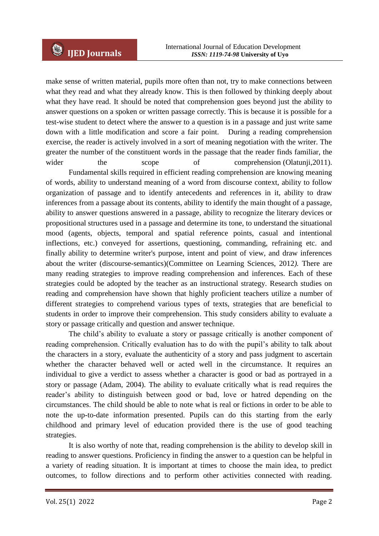make sense of written material, pupils more often than not, try to make connections between what they read and what they already know. This is then followed by thinking deeply about what they have read. It should be noted that comprehension goes beyond just the ability to answer questions on a spoken or written passage correctly. This is because it is possible for a test-wise student to detect where the answer to a question is in a passage and just write same down with a little modification and score a fair point. During a reading comprehension exercise, the reader is actively involved in a sort of meaning negotiation with the writer. The greater the number of the constituent words in the passage that the reader finds familiar, the wider the scope of comprehension (Olatunji, 2011). Fundamental skills required in efficient reading comprehension are knowing meaning of words, ability to understand meaning of a word from discourse context, ability to follow organization of passage and to identify antecedents and references in it, ability to draw inferences from a passage about its contents, ability to identify the main thought of a passage,

ability to answer questions answered in a passage, ability to recognize the literary devices or propositional structures used in a passage and determine its tone, to understand the situational mood (agents, objects, temporal and spatial reference points, casual and intentional inflections, etc.) conveyed for assertions, questioning, commanding, refraining etc. and finally ability to determine writer's purpose, intent and point of view, and draw inferences about the writer (discourse-semantics)(Committee on Learning Sciences, 2012*).* There are many reading strategies to improve reading comprehension and inferences. Each of these strategies could be adopted by the teacher as an instructional strategy. Research studies on reading and comprehension have shown that highly proficient teachers utilize a number of different strategies to comprehend various types of texts, strategies that are beneficial to students in order to improve their comprehension. This study considers ability to evaluate a story or passage critically and question and answer technique.

The child's ability to evaluate a story or passage critically is another component of reading comprehension. Critically evaluation has to do with the pupil's ability to talk about the characters in a story, evaluate the authenticity of a story and pass judgment to ascertain whether the character behaved well or acted well in the circumstance. It requires an individual to give a verdict to assess whether a character is good or bad as portrayed in a story or passage (Adam, 2004). The ability to evaluate critically what is read requires the reader's ability to distinguish between good or bad, love or hatred depending on the circumstances. The child should be able to note what is real or fictions in order to be able to note the up-to-date information presented. Pupils can do this starting from the early childhood and primary level of education provided there is the use of good teaching strategies.

It is also worthy of note that, reading comprehension is the ability to develop skill in reading to answer questions. Proficiency in finding the answer to a question can be helpful in a variety of reading situation. It is important at times to choose the main idea, to predict outcomes, to follow directions and to perform other activities connected with reading.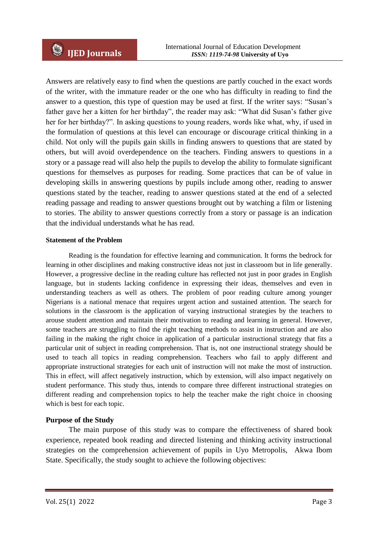Answers are relatively easy to find when the questions are partly couched in the exact words of the writer, with the immature reader or the one who has difficulty in reading to find the answer to a question, this type of question may be used at first. If the writer says: "Susan's father gave her a kitten for her birthday", the reader may ask: "What did Susan's father give her for her birthday?". In asking questions to young readers, words like what, why, if used in the formulation of questions at this level can encourage or discourage critical thinking in a child. Not only will the pupils gain skills in finding answers to questions that are stated by others, but will avoid overdependence on the teachers. Finding answers to questions in a story or a passage read will also help the pupils to develop the ability to formulate significant questions for themselves as purposes for reading. Some practices that can be of value in developing skills in answering questions by pupils include among other, reading to answer questions stated by the teacher, reading to answer questions stated at the end of a selected reading passage and reading to answer questions brought out by watching a film or listening to stories. The ability to answer questions correctly from a story or passage is an indication that the individual understands what he has read.

#### **Statement of the Problem**

Reading is the foundation for effective learning and communication. It forms the bedrock for learning in other disciplines and making constructive ideas not just in classroom but in life generally. However, a progressive decline in the reading culture has reflected not just in poor grades in English language, but in students lacking confidence in expressing their ideas, themselves and even in understanding teachers as well as others. The problem of poor reading culture among younger Nigerians is a national menace that requires urgent action and sustained attention. The search for solutions in the classroom is the application of varying instructional strategies by the teachers to arouse student attention and maintain their motivation to reading and learning in general. However, some teachers are struggling to find the right teaching methods to assist in instruction and are also failing in the making the right choice in application of a particular instructional strategy that fits a particular unit of subject in reading comprehension. That is, not one instructional strategy should be used to teach all topics in reading comprehension. Teachers who fail to apply different and appropriate instructional strategies for each unit of instruction will not make the most of instruction. This in effect, will affect negatively instruction, which by extension, will also impact negatively on student performance. This study thus, intends to compare three different instructional strategies on different reading and comprehension topics to help the teacher make the right choice in choosing which is best for each topic.

### **Purpose of the Study**

The main purpose of this study was to compare the effectiveness of shared book experience, repeated book reading and directed listening and thinking activity instructional strategies on the comprehension achievement of pupils in Uyo Metropolis, Akwa Ibom State. Specifically, the study sought to achieve the following objectives: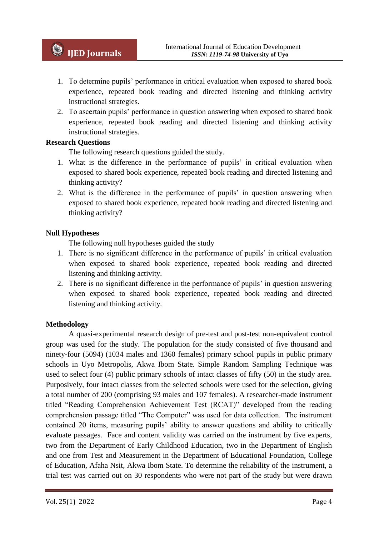- 1. To determine pupils' performance in critical evaluation when exposed to shared book experience, repeated book reading and directed listening and thinking activity instructional strategies.
- 2. To ascertain pupils' performance in question answering when exposed to shared book experience, repeated book reading and directed listening and thinking activity instructional strategies.

### **Research Questions**

The following research questions guided the study.

- 1. What is the difference in the performance of pupils' in critical evaluation when exposed to shared book experience, repeated book reading and directed listening and thinking activity?
- 2. What is the difference in the performance of pupils' in question answering when exposed to shared book experience, repeated book reading and directed listening and thinking activity?

## **Null Hypotheses**

The following null hypotheses guided the study

- 1. There is no significant difference in the performance of pupils' in critical evaluation when exposed to shared book experience, repeated book reading and directed listening and thinking activity.
- 2. There is no significant difference in the performance of pupils' in question answering when exposed to shared book experience, repeated book reading and directed listening and thinking activity.

### **Methodology**

A quasi-experimental research design of pre-test and post-test non-equivalent control group was used for the study. The population for the study consisted of five thousand and ninety-four (5094) (1034 males and 1360 females) primary school pupils in public primary schools in Uyo Metropolis, Akwa Ibom State. Simple Random Sampling Technique was used to select four (4) public primary schools of intact classes of fifty (50) in the study area. Purposively, four intact classes from the selected schools were used for the selection, giving a total number of 200 (comprising 93 males and 107 females). A researcher-made instrument titled "Reading Comprehension Achievement Test (RCAT)" developed from the reading comprehension passage titled "The Computer" was used for data collection. The instrument contained 20 items, measuring pupils' ability to answer questions and ability to critically evaluate passages. Face and content validity was carried on the instrument by five experts, two from the Department of Early Childhood Education, two in the Department of English and one from Test and Measurement in the Department of Educational Foundation, College of Education, Afaha Nsit, Akwa Ibom State. To determine the reliability of the instrument, a trial test was carried out on 30 respondents who were not part of the study but were drawn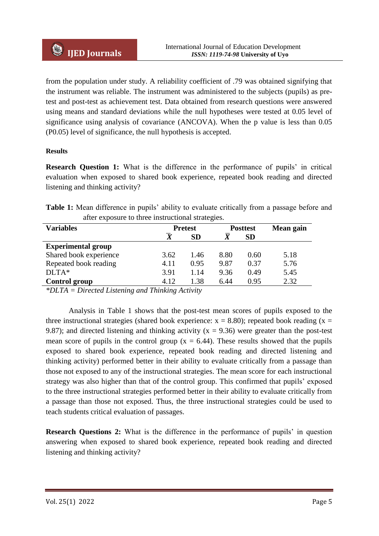from the population under study. A reliability coefficient of .79 was obtained signifying that the instrument was reliable. The instrument was administered to the subjects (pupils) as pretest and post-test as achievement test. Data obtained from research questions were answered using means and standard deviations while the null hypotheses were tested at 0.05 level of significance using analysis of covariance (ANCOVA). When the p value is less than 0.05 (P0.05) level of significance, the null hypothesis is accepted.

#### **Results**

**Research Question 1:** What is the difference in the performance of pupils' in critical evaluation when exposed to shared book experience, repeated book reading and directed listening and thinking activity?

|  | <b>Table 1:</b> Mean difference in pupils' ability to evaluate critically from a passage before and |  |  |  |  |
|--|-----------------------------------------------------------------------------------------------------|--|--|--|--|
|  | after exposure to three instructional strategies.                                                   |  |  |  |  |

| <b>Variables</b>          | <b>Pretest</b>          |           | <b>Posttest</b> | Mean gain |      |
|---------------------------|-------------------------|-----------|-----------------|-----------|------|
|                           | $\overline{\mathbf{X}}$ | <b>SD</b> | $\overline{X}$  | <b>SD</b> |      |
| <b>Experimental group</b> |                         |           |                 |           |      |
| Shared book experience    | 3.62                    | 1.46      | 8.80            | 0.60      | 5.18 |
| Repeated book reading     | 4.11                    | 0.95      | 9.87            | 0.37      | 5.76 |
| $DLTA*$                   | 3.91                    | 1.14      | 9.36            | 0.49      | 5.45 |
| Control group             | 4.12                    | 1.38      | 6.44            | 0.95      | 2.32 |

*\*DLTA = Directed Listening and Thinking Activity*

Analysis in Table 1 shows that the post-test mean scores of pupils exposed to the three instructional strategies (shared book experience:  $x = 8.80$ ); repeated book reading (x = 9.87); and directed listening and thinking activity ( $x = 9.36$ ) were greater than the post-test mean score of pupils in the control group ( $x = 6.44$ ). These results showed that the pupils exposed to shared book experience, repeated book reading and directed listening and thinking activity) performed better in their ability to evaluate critically from a passage than those not exposed to any of the instructional strategies. The mean score for each instructional strategy was also higher than that of the control group. This confirmed that pupils' exposed to the three instructional strategies performed better in their ability to evaluate critically from a passage than those not exposed. Thus, the three instructional strategies could be used to teach students critical evaluation of passages.

**Research Questions 2:** What is the difference in the performance of pupils' in question answering when exposed to shared book experience, repeated book reading and directed listening and thinking activity?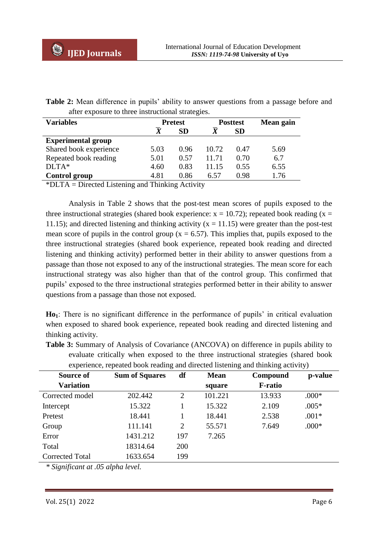|  | <b>Table 2:</b> Mean difference in pupils' ability to answer questions from a passage before and |  |  |  |  |
|--|--------------------------------------------------------------------------------------------------|--|--|--|--|
|  | after exposure to three instructional strategies.                                                |  |  |  |  |

| <b>Variables</b>          |      | <b>Pretest</b> |       | <b>Posttest</b> | Mean gain |
|---------------------------|------|----------------|-------|-----------------|-----------|
|                           |      | <b>SD</b>      |       | <b>SD</b>       |           |
| <b>Experimental group</b> |      |                |       |                 |           |
| Shared book experience    | 5.03 | 0.96           | 10.72 | 0.47            | 5.69      |
| Repeated book reading     | 5.01 | 0.57           | 11.71 | 0.70            | 6.7       |
| $DLTA*$                   | 4.60 | 0.83           | 11.15 | 0.55            | 6.55      |
| <b>Control group</b>      | 4.81 | 0.86           | 6.57  | 0.98            | 1.76      |

\*DLTA = Directed Listening and Thinking Activity

Analysis in Table 2 shows that the post-test mean scores of pupils exposed to the three instructional strategies (shared book experience:  $x = 10.72$ ); repeated book reading (x = 11.15); and directed listening and thinking activity ( $x = 11.15$ ) were greater than the post-test mean score of pupils in the control group ( $x = 6.57$ ). This implies that, pupils exposed to the three instructional strategies (shared book experience, repeated book reading and directed listening and thinking activity) performed better in their ability to answer questions from a passage than those not exposed to any of the instructional strategies. The mean score for each instructional strategy was also higher than that of the control group. This confirmed that pupils' exposed to the three instructional strategies performed better in their ability to answer questions from a passage than those not exposed.

**Ho1**: There is no significant difference in the performance of pupils' in critical evaluation when exposed to shared book experience, repeated book reading and directed listening and thinking activity.

| Source of              | <b>Sum of Squares</b> | df             | <b>Mean</b> | Compound       | p-value |
|------------------------|-----------------------|----------------|-------------|----------------|---------|
| <b>Variation</b>       |                       |                | square      | <b>F-ratio</b> |         |
| Corrected model        | 202.442               | 2              | 101.221     | 13.933         | $.000*$ |
| Intercept              | 15.322                |                | 15.322      | 2.109          | $.005*$ |
| Pretest                | 18.441                |                | 18.441      | 2.538          | $.001*$ |
| Group                  | 111.141               | $\overline{2}$ | 55.571      | 7.649          | $.000*$ |
| Error                  | 1431.212              | 197            | 7.265       |                |         |
| Total                  | 18314.64              | 200            |             |                |         |
| <b>Corrected Total</b> | 1633.654              | 199            |             |                |         |

**Table 3:** Summary of Analysis of Covariance (ANCOVA) on difference in pupils ability to evaluate critically when exposed to the three instructional strategies (shared book experience, repeated book reading and directed listening and thinking activity)

*\* Significant at .05 alpha level.*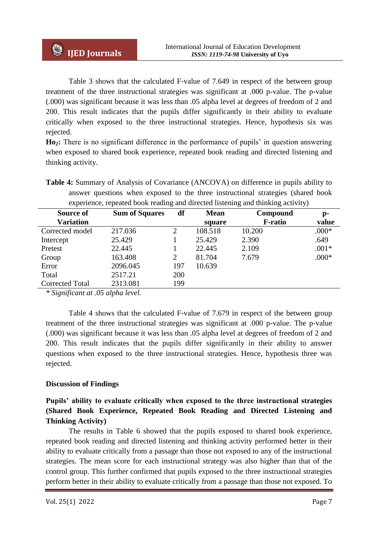Table 3 shows that the calculated F-value of 7.649 in respect of the between group treatment of the three instructional strategies was significant at .000 p-value. The p-value (.000) was significant because it was less than .05 alpha level at degrees of freedom of 2 and 200. This result indicates that the pupils differ significantly in their ability to evaluate critically when exposed to the three instructional strategies. Hence, hypothesis six was rejected.

**Ho2:** There is no significant difference in the performance of pupils' in question answering when exposed to shared book experience, repeated book reading and directed listening and thinking activity.

| experience, repeated book reading and directed listening and thinking activity) |                       |                |             |                |                |  |  |  |
|---------------------------------------------------------------------------------|-----------------------|----------------|-------------|----------------|----------------|--|--|--|
| Source of                                                                       | <b>Sum of Squares</b> | df             | <b>Mean</b> | Compound       | $\mathbf{p}$ - |  |  |  |
| <b>Variation</b>                                                                |                       |                | square      | <b>F-ratio</b> | value          |  |  |  |
| Corrected model                                                                 | 217.036               | 2              | 108.518     | 10.200         | $.000*$        |  |  |  |
| Intercept                                                                       | 25.429                |                | 25.429      | 2.390          | .649           |  |  |  |
| Pretest                                                                         | 22.445                |                | 22.445      | 2.109          | $.001*$        |  |  |  |
| Group                                                                           | 163.408               | $\overline{2}$ | 81.704      | 7.679          | $.000*$        |  |  |  |
| Error                                                                           | 2096.045              | 197            | 10.639      |                |                |  |  |  |
| Total                                                                           | 2517.21               | 200            |             |                |                |  |  |  |
| <b>Corrected Total</b>                                                          | 2313.081              | 199            |             |                |                |  |  |  |

**Table 4:** Summary of Analysis of Covariance (ANCOVA) on difference in pupils ability to answer questions when exposed to the three instructional strategies (shared book

*\* Significant at .05 alpha level.* 

Table 4 shows that the calculated F-value of 7.679 in respect of the between group treatment of the three instructional strategies was significant at .000 p-value. The p-value (.000) was significant because it was less than .05 alpha level at degrees of freedom of 2 and 200. This result indicates that the pupils differ significantly in their ability to answer questions when exposed to the three instructional strategies. Hence, hypothesis three was rejected.

### **Discussion of Findings**

# **Pupils' ability to evaluate critically when exposed to the three instructional strategies (Shared Book Experience, Repeated Book Reading and Directed Listening and Thinking Activity)**

The results in Table 6 showed that the pupils exposed to shared book experience, repeated book reading and directed listening and thinking activity performed better in their ability to evaluate critically from a passage than those not exposed to any of the instructional strategies. The mean score for each instructional strategy was also higher than that of the control group. This further confirmed that pupils exposed to the three instructional strategies perform better in their ability to evaluate critically from a passage than those not exposed. To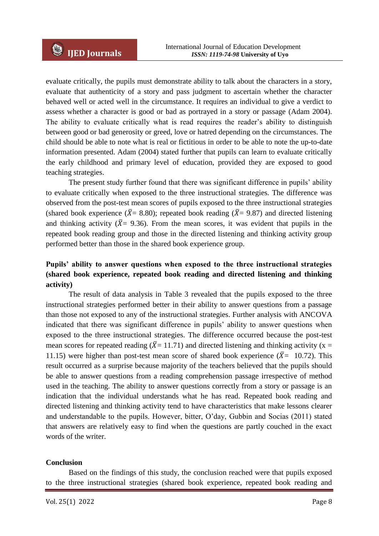evaluate critically, the pupils must demonstrate ability to talk about the characters in a story, evaluate that authenticity of a story and pass judgment to ascertain whether the character behaved well or acted well in the circumstance. It requires an individual to give a verdict to assess whether a character is good or bad as portrayed in a story or passage (Adam 2004). The ability to evaluate critically what is read requires the reader's ability to distinguish between good or bad generosity or greed, love or hatred depending on the circumstances. The child should be able to note what is real or fictitious in order to be able to note the up-to-date information presented. Adam (2004) stated further that pupils can learn to evaluate critically the early childhood and primary level of education, provided they are exposed to good teaching strategies.

The present study further found that there was significant difference in pupils' ability to evaluate critically when exposed to the three instructional strategies. The difference was observed from the post-test mean scores of pupils exposed to the three instructional strategies (shared book experience ( $\bar{X}$ = 8.80); repeated book reading ( $\bar{X}$ = 9.87) and directed listening and thinking activity ( $\bar{X}$ = 9.36). From the mean scores, it was evident that pupils in the repeated book reading group and those in the directed listening and thinking activity group performed better than those in the shared book experience group.

# **Pupils' ability to answer questions when exposed to the three instructional strategies (shared book experience, repeated book reading and directed listening and thinking activity)**

The result of data analysis in Table 3 revealed that the pupils exposed to the three instructional strategies performed better in their ability to answer questions from a passage than those not exposed to any of the instructional strategies. Further analysis with ANCOVA indicated that there was significant difference in pupils' ability to answer questions when exposed to the three instructional strategies. The difference occurred because the post-test mean scores for repeated reading ( $\bar{X}$ = 11.71) and directed listening and thinking activity (x = 11.15) were higher than post-test mean score of shared book experience ( $\bar{X}$ = 10.72). This result occurred as a surprise because majority of the teachers believed that the pupils should be able to answer questions from a reading comprehension passage irrespective of method used in the teaching. The ability to answer questions correctly from a story or passage is an indication that the individual understands what he has read. Repeated book reading and directed listening and thinking activity tend to have characteristics that make lessons clearer and understandable to the pupils. However, bitter, O'day, Gubbin and Socias (2011) stated that answers are relatively easy to find when the questions are partly couched in the exact words of the writer.

#### **Conclusion**

Based on the findings of this study, the conclusion reached were that pupils exposed to the three instructional strategies (shared book experience, repeated book reading and